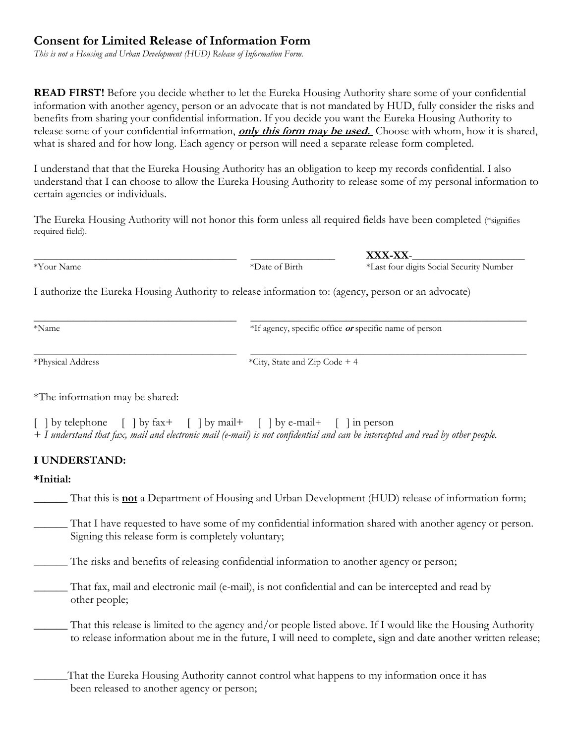## **Consent for Limited Release of Information Form**

*This is not a Housing and Urban Development (HUD) Release of Information Form.*

**READ FIRST!** Before you decide whether to let the Eureka Housing Authority share some of your confidential information with another agency, person or an advocate that is not mandated by HUD, fully consider the risks and benefits from sharing your confidential information. If you decide you want the Eureka Housing Authority to release some of your confidential information, **only this form may be used.** Choose with whom, how it is shared, what is shared and for how long. Each agency or person will need a separate release form completed.

I understand that that the Eureka Housing Authority has an obligation to keep my records confidential. I also understand that I can choose to allow the Eureka Housing Authority to release some of my personal information to certain agencies or individuals.

The Eureka Housing Authority will not honor this form unless all required fields have been completed (\*signifies required field).

\_\_\_\_\_\_\_\_\_\_\_\_\_\_\_\_\_\_\_\_\_\_\_\_\_\_\_\_\_\_\_\_\_\_\_\_ \_\_\_\_\_\_\_\_\_\_\_\_\_\_\_\_\_\_\_\_\_\_\_\_\_\_\_\_\_\_\_\_\_\_\_\_\_\_\_\_\_\_\_\_\_\_\_\_\_

\_\_\_\_\_\_\_\_\_\_\_\_\_\_\_\_\_\_\_\_\_\_\_\_\_\_\_\_\_\_\_\_\_\_\_\_ \_\_\_\_\_\_\_\_\_\_\_\_\_\_\_ **XXX-XX**-\_\_\_\_\_\_\_\_\_\_\_\_\_\_\_\_\_\_\_\_ \*Your Name \*Date of Birth \*Last four digits Social Security Number

I authorize the Eureka Housing Authority to release information to: (agency, person or an advocate)

\*Name \*If agency, specific office **or** specific name of person

\_\_\_\_\_\_\_\_\_\_\_\_\_\_\_\_\_\_\_\_\_\_\_\_\_\_\_\_\_\_\_\_\_\_\_\_ \_\_\_\_\_\_\_\_\_\_\_\_\_\_\_\_\_\_\_\_\_\_\_\_\_\_\_\_\_\_\_\_\_\_\_\_\_\_\_\_\_\_\_\_\_\_\_\_\_ \*Physical Address  $*City$ , State and Zip Code + 4

\*The information may be shared:

[ ] by telephone [ ] by fax+ [ ] by mail+ [ ] by e-mail+ [ ] in person + *I understand that fax, mail and electronic mail (e-mail) is not confidential and can be intercepted and read by other people.*

## **I UNDERSTAND:**

## **\*Initial:**

\_\_\_\_\_\_ That this is **not** a Department of Housing and Urban Development (HUD) release of information form;

That I have requested to have some of my confidential information shared with another agency or person. Signing this release form is completely voluntary;

\_\_\_\_\_\_ The risks and benefits of releasing confidential information to another agency or person;

\_\_\_\_\_\_ That fax, mail and electronic mail (e-mail), is not confidential and can be intercepted and read by other people;

That this release is limited to the agency and/or people listed above. If I would like the Housing Authority to release information about me in the future, I will need to complete, sign and date another written release;

That the Eureka Housing Authority cannot control what happens to my information once it has been released to another agency or person;